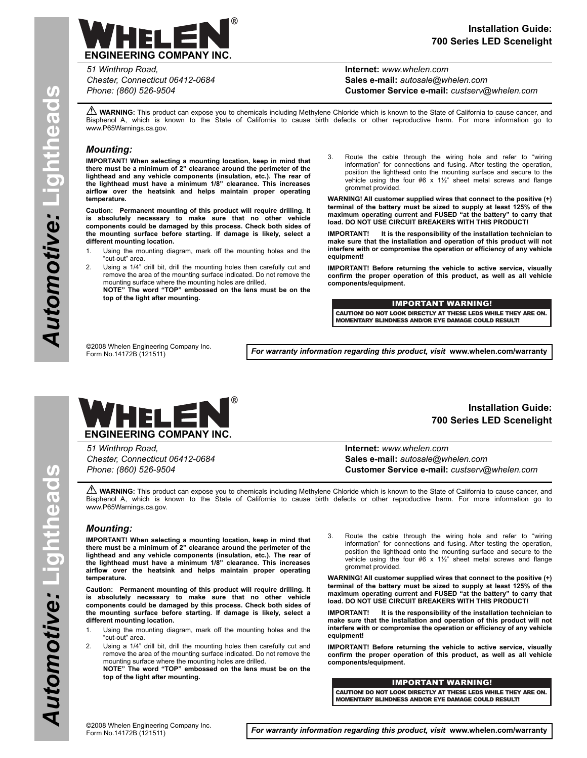

**Internet:** *www.whelen.com* **Sales e-mail:** *autosale@whelen.com* **Customer Service e-mail:** *custserv@whelen.com*

**A WARNING:** This product can expose you to chemicals including Methylene Chloride which is known to the State of California to cause cancer, and Bisphenol A, which is known to the State of California to cause birth defects or other reproductive harm. For more information go to www.P65Warnings.ca.gov.

## *Mounting:*

**IMPORTANT! When selecting a mounting location, keep in mind that there must be a minimum of 2" clearance around the perimeter of the lighthead and any vehicle components (insulation, etc.). The rear of the lighthead must have a minimum 1/8" clearance. This increases airflow over the heatsink and helps maintain proper operating temperature.**

**Caution: Permanent mounting of this product will require drilling. It is absolutely necessary to make sure that no other vehicle components could be damaged by this process. Check both sides of the mounting surface before starting. If damage is likely, select a different mounting location.**

- 1. Using the mounting diagram, mark off the mounting holes and the "cut-out" area.
- 2. Using a 1/4" drill bit, drill the mounting holes then carefully cut and remove the area of the mounting surface indicated. Do not remove the mounting surface where the mounting holes are drilled. **NOTE" The word "TOP" embossed on the lens must be on the top of the light after mounting.**
- 3. Route the cable through the wiring hole and refer to "wiring information" for connections and fusing. After testing the operation, position the lighthead onto the mounting surface and secure to the vehicle using the four #6 x 1½" sheet metal screws and flange grommet provided.

**WARNING! All customer supplied wires that connect to the positive (+) terminal of the battery must be sized to supply at least 125% of the maximum operating current and FUSED "at the battery" to carry that load. DO NOT USE CIRCUIT BREAKERS WITH THIS PRODUCT!**

**IMPORTANT! It is the responsibility of the installation technician to make sure that the installation and operation of this product will not interfere with or compromise the operation or efficiency of any vehicle equipment!**

**IMPORTANT! Before returning the vehicle to active service, visually confirm the proper operation of this product, as well as all vehicle components/equipment.**

## IMPORTANT WARNING!

CAUTION! DO NOT LOOK DIRECTLY AT THESE LEDS WHILE THEY ARE ON. MOMENTARY BLINDNESS AND/OR EYE DAMAGE COULD RESULT!

©2008 Whelen Engineering Company Inc. Form No.14172B (121511)

*For warranty information regarding this product, visit* **www.whelen.com/warranty**



*51 Winthrop Road, Chester, Connecticut 06412-0684 Phone: (860) 526-9504*

# **Installation Guide: 700 Series LED Scenelight**

**Internet:** *www.whelen.com* **Sales e-mail:** *autosale@whelen.com* **Customer Service e-mail:** *custserv@whelen.com*

**A WARNING:** This product can expose you to chemicals including Methylene Chloride which is known to the State of California to cause cancer, and Bisphenol A, which is known to the State of California to cause birth defects or other reproductive harm. For more information go to www.P65Warnings.ca.gov.

### *Mounting:*

**IMPORTANT! When selecting a mounting location, keep in mind that there must be a minimum of 2" clearance around the perimeter of the lighthead and any vehicle components (insulation, etc.). The rear of the lighthead must have a minimum 1/8" clearance. This increases airflow over the heatsink and helps maintain proper operating temperature.**

**Caution: Permanent mounting of this product will require drilling. It is absolutely necessary to make sure that no other vehicle components could be damaged by this process. Check both sides of the mounting surface before starting. If damage is likely, select a different mounting location.**

1. Using the mounting diagram, mark off the mounting holes and the "cut-out" area.

2. Using a 1/4" drill bit, drill the mounting holes then carefully cut and remove the area of the mounting surface indicated. Do not remove the mounting surface where the mounting holes are drilled. **NOTE" The word "TOP" embossed on the lens must be on the top of the light after mounting.**

3. Route the cable through the wiring hole and refer to "wiring information" for connections and fusing. After testing the operation, position the lighthead onto the mounting surface and secure to the vehicle using the four #6 x 1½" sheet metal screws and flange grommet provided.

**WARNING! All customer supplied wires that connect to the positive (+) terminal of the battery must be sized to supply at least 125% of the maximum operating current and FUSED "at the battery" to carry that load. DO NOT USE CIRCUIT BREAKERS WITH THIS PRODUCT!**

**IMPORTANT! It is the responsibility of the installation technician to make sure that the installation and operation of this product will not interfere with or compromise the operation or efficiency of any vehicle equipment!**

**IMPORTANT! Before returning the vehicle to active service, visually confirm the proper operation of this product, as well as all vehicle components/equipment.**

#### IMPORTANT WARNING!

CAUTION! DO NOT LOOK DIRECTLY AT THESE LEDS WHILE THEY ARE ON. MOMENTARY BLINDNESS AND/OR EYE DAMAGE COULD RESULT!

Automotive: Lightheads  **Lightheads** *Automotive:*

**Page 1** *For warranty information regarding this product, visit* **www.whelen.com/warranty**